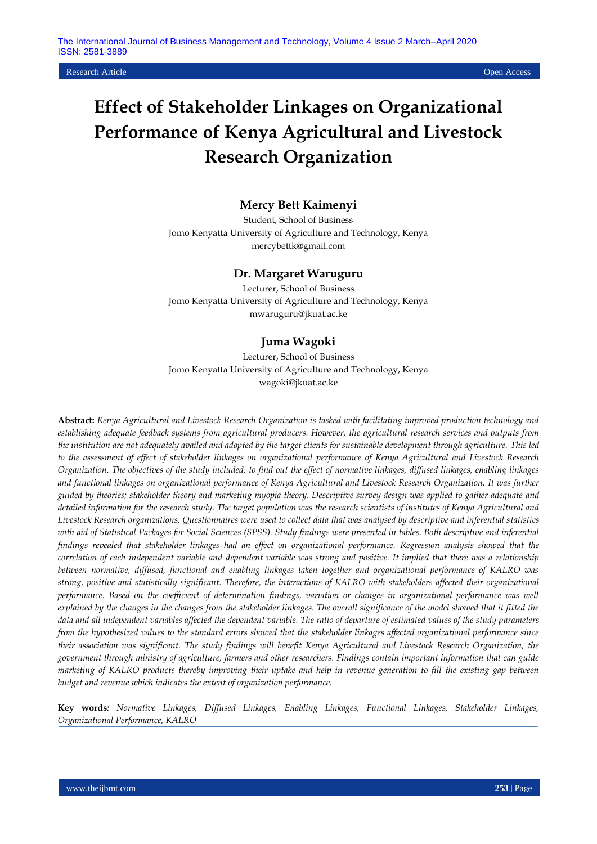Research Article Open Access

# **Effect of Stakeholder Linkages on Organizational Performance of Kenya Agricultural and Livestock Research Organization**

# **Mercy Bett Kaimenyi**

Student, School of Business Jomo Kenyatta University of Agriculture and Technology, Kenya [mercybettk@gmail.com](mailto:mercybettk@gmail.com)

## **Dr. Margaret Waruguru**

Lecturer, School of Business Jomo Kenyatta University of Agriculture and Technology, Kenya mwaruguru@jkuat.ac.ke

# **Juma Wagoki**

Lecturer, School of Business Jomo Kenyatta University of Agriculture and Technology, Kenya wagoki@jkuat.ac.ke

**Abstract:** *Kenya Agricultural and Livestock Research Organization is tasked with facilitating improved production technology and establishing adequate feedback systems from agricultural producers. However, the agricultural research services and outputs from the institution are not adequately availed and adopted by the target clients for sustainable development through agriculture. This led to the assessment of effect of stakeholder linkages on organizational performance of Kenya Agricultural and Livestock Research Organization. The objectives of the study included; to find out the effect of normative linkages, diffused linkages, enabling linkages and functional linkages on organizational performance of Kenya Agricultural and Livestock Research Organization. It was further guided by theories; stakeholder theory and marketing myopia theory. Descriptive survey design was applied to gather adequate and detailed information for the research study. The target population was the research scientists of institutes of Kenya Agricultural and Livestock Research organizations. Questionnaires were used to collect data that was analysed by descriptive and inferential statistics with aid of Statistical Packages for Social Sciences (SPSS). Study findings were presented in tables. Both descriptive and inferential findings revealed that stakeholder linkages had an effect on organizational performance. Regression analysis showed that the correlation of each independent variable and dependent variable was strong and positive. It implied that there was a relationship between normative, diffused, functional and enabling linkages taken together and organizational performance of KALRO was strong, positive and statistically significant. Therefore, the interactions of KALRO with stakeholders affected their organizational performance. Based on the coefficient of determination findings, variation or changes in organizational performance was well*  explained by the changes in the changes from the stakeholder linkages. The overall significance of the model showed that it fitted the *data and all independent variables affected the dependent variable. The ratio of departure of estimated values of the study parameters from the hypothesized values to the standard errors showed that the stakeholder linkages affected organizational performance since their association was significant. The study findings will benefit Kenya Agricultural and Livestock Research Organization, the government through ministry of agriculture, farmers and other researchers. Findings contain important information that can guide marketing of KALRO products thereby improving their uptake and help in revenue generation to fill the existing gap between budget and revenue which indicates the extent of organization performance.*

**Key words***: Normative Linkages, Diffused Linkages, Enabling Linkages, Functional Linkages, Stakeholder Linkages, Organizational Performance, KALRO*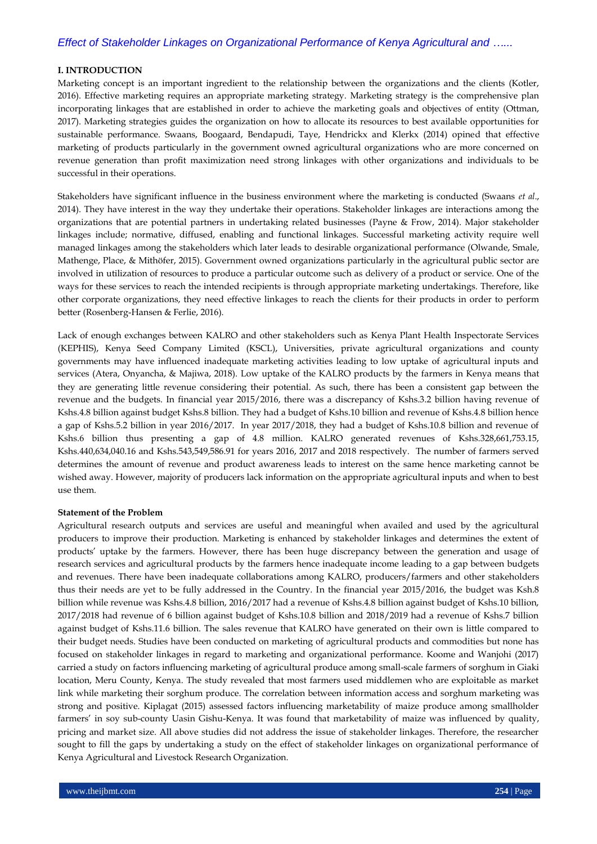#### **I. INTRODUCTION**

Marketing concept is an important ingredient to the relationship between the organizations and the clients (Kotler, 2016). Effective marketing requires an appropriate marketing strategy. Marketing strategy is the comprehensive plan incorporating linkages that are established in order to achieve the marketing goals and objectives of entity (Ottman, 2017). Marketing strategies guides the organization on how to allocate its resources to best available opportunities for sustainable performance. Swaans, Boogaard, Bendapudi, Taye, Hendrickx and Klerkx (2014) opined that effective marketing of products particularly in the government owned agricultural organizations who are more concerned on revenue generation than profit maximization need strong linkages with other organizations and individuals to be successful in their operations.

Stakeholders have significant influence in the business environment where the marketing is conducted (Swaans *et al*., 2014). They have interest in the way they undertake their operations. Stakeholder linkages are interactions among the organizations that are potential partners in undertaking related businesses (Payne & Frow, 2014). Major stakeholder linkages include; normative, diffused, enabling and functional linkages. Successful marketing activity require well managed linkages among the stakeholders which later leads to desirable organizational performance (Olwande, Smale, Mathenge, Place, & Mithöfer, 2015). Government owned organizations particularly in the agricultural public sector are involved in utilization of resources to produce a particular outcome such as delivery of a product or service. One of the ways for these services to reach the intended recipients is through appropriate marketing undertakings. Therefore, like other corporate organizations, they need effective linkages to reach the clients for their products in order to perform better (Rosenberg-Hansen & Ferlie, 2016).

Lack of enough exchanges between KALRO and other stakeholders such as Kenya Plant Health Inspectorate Services (KEPHIS), Kenya Seed Company Limited (KSCL), Universities, private agricultural organizations and county governments may have influenced inadequate marketing activities leading to low uptake of agricultural inputs and services (Atera, Onyancha, & Majiwa, 2018). Low uptake of the KALRO products by the farmers in Kenya means that they are generating little revenue considering their potential. As such, there has been a consistent gap between the revenue and the budgets. In financial year 2015/2016, there was a discrepancy of Kshs.3.2 billion having revenue of Kshs.4.8 billion against budget Kshs.8 billion. They had a budget of Kshs.10 billion and revenue of Kshs.4.8 billion hence a gap of Kshs.5.2 billion in year 2016/2017. In year 2017/2018, they had a budget of Kshs.10.8 billion and revenue of Kshs.6 billion thus presenting a gap of 4.8 million. KALRO generated revenues of Kshs.328,661,753.15, Kshs.440,634,040.16 and Kshs.543,549,586.91 for years 2016, 2017 and 2018 respectively. The number of farmers served determines the amount of revenue and product awareness leads to interest on the same hence marketing cannot be wished away. However, majority of producers lack information on the appropriate agricultural inputs and when to best use them.

#### **Statement of the Problem**

Agricultural research outputs and services are useful and meaningful when availed and used by the agricultural producers to improve their production. Marketing is enhanced by stakeholder linkages and determines the extent of products' uptake by the farmers. However, there has been huge discrepancy between the generation and usage of research services and agricultural products by the farmers hence inadequate income leading to a gap between budgets and revenues. There have been inadequate collaborations among KALRO, producers/farmers and other stakeholders thus their needs are yet to be fully addressed in the Country. In the financial year 2015/2016, the budget was Ksh.8 billion while revenue was Kshs.4.8 billion, 2016/2017 had a revenue of Kshs.4.8 billion against budget of Kshs.10 billion, 2017/2018 had revenue of 6 billion against budget of Kshs.10.8 billion and 2018/2019 had a revenue of Kshs.7 billion against budget of Kshs.11.6 billion. The sales revenue that KALRO have generated on their own is little compared to their budget needs. Studies have been conducted on marketing of agricultural products and commodities but none has focused on stakeholder linkages in regard to marketing and organizational performance. Koome and Wanjohi (2017) carried a study on factors influencing marketing of agricultural produce among small-scale farmers of sorghum in Giaki location, Meru County, Kenya. The study revealed that most farmers used middlemen who are exploitable as market link while marketing their sorghum produce. The correlation between information access and sorghum marketing was strong and positive. Kiplagat (2015) assessed factors influencing marketability of maize produce among smallholder farmers' in soy sub-county Uasin Gishu-Kenya. It was found that marketability of maize was influenced by quality, pricing and market size. All above studies did not address the issue of stakeholder linkages. Therefore, the researcher sought to fill the gaps by undertaking a study on the effect of stakeholder linkages on organizational performance of Kenya Agricultural and Livestock Research Organization.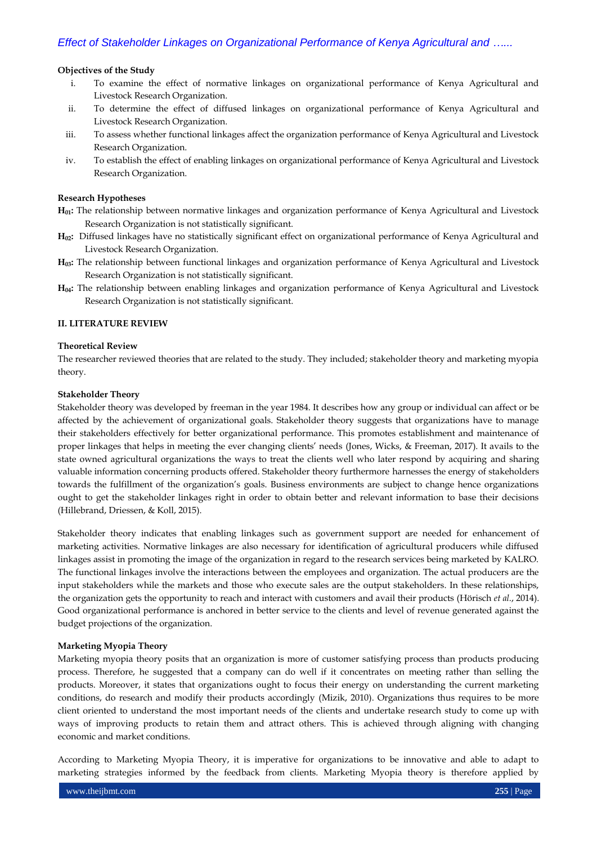## **Objectives of the Study**

- i. To examine the effect of normative linkages on organizational performance of Kenya Agricultural and Livestock Research Organization.
- ii. To determine the effect of diffused linkages on organizational performance of Kenya Agricultural and Livestock Research Organization.
- iii. To assess whether functional linkages affect the organization performance of Kenya Agricultural and Livestock Research Organization.
- iv. To establish the effect of enabling linkages on organizational performance of Kenya Agricultural and Livestock Research Organization.

#### **Research Hypotheses**

- **H01:** The relationship between normative linkages and organization performance of Kenya Agricultural and Livestock Research Organization is not statistically significant.
- **H02:** Diffused linkages have no statistically significant effect on organizational performance of Kenya Agricultural and Livestock Research Organization.
- **H03:** The relationship between functional linkages and organization performance of Kenya Agricultural and Livestock Research Organization is not statistically significant.
- **H04:** The relationship between enabling linkages and organization performance of Kenya Agricultural and Livestock Research Organization is not statistically significant.

## **II. LITERATURE REVIEW**

## **Theoretical Review**

The researcher reviewed theories that are related to the study. They included; stakeholder theory and marketing myopia theory.

#### **Stakeholder Theory**

Stakeholder theory was developed by freeman in the year 1984. It describes how any group or individual can affect or be affected by the achievement of organizational goals. Stakeholder theory suggests that organizations have to manage their stakeholders effectively for better organizational performance. This promotes establishment and maintenance of proper linkages that helps in meeting the ever changing clients' needs (Jones, Wicks, & Freeman, 2017). It avails to the state owned agricultural organizations the ways to treat the clients well who later respond by acquiring and sharing valuable information concerning products offered. Stakeholder theory furthermore harnesses the energy of stakeholders towards the fulfillment of the organization's goals. Business environments are subject to change hence organizations ought to get the stakeholder linkages right in order to obtain better and relevant information to base their decisions (Hillebrand, Driessen, & Koll, 2015).

Stakeholder theory indicates that enabling linkages such as government support are needed for enhancement of marketing activities. Normative linkages are also necessary for identification of agricultural producers while diffused linkages assist in promoting the image of the organization in regard to the research services being marketed by KALRO. The functional linkages involve the interactions between the employees and organization. The actual producers are the input stakeholders while the markets and those who execute sales are the output stakeholders. In these relationships, the organization gets the opportunity to reach and interact with customers and avail their products (Hörisch *et al*., 2014). Good organizational performance is anchored in better service to the clients and level of revenue generated against the budget projections of the organization.

#### **Marketing Myopia Theory**

Marketing myopia theory posits that an organization is more of customer satisfying process than products producing process. Therefore, he suggested that a company can do well if it concentrates on meeting rather than selling the products. Moreover, it states that organizations ought to focus their energy on understanding the current marketing conditions, do research and modify their products accordingly (Mizik, 2010). Organizations thus requires to be more client oriented to understand the most important needs of the clients and undertake research study to come up with ways of improving products to retain them and attract others. This is achieved through aligning with changing economic and market conditions.

According to Marketing Myopia Theory, it is imperative for organizations to be innovative and able to adapt to marketing strategies informed by the feedback from clients. Marketing Myopia theory is therefore applied by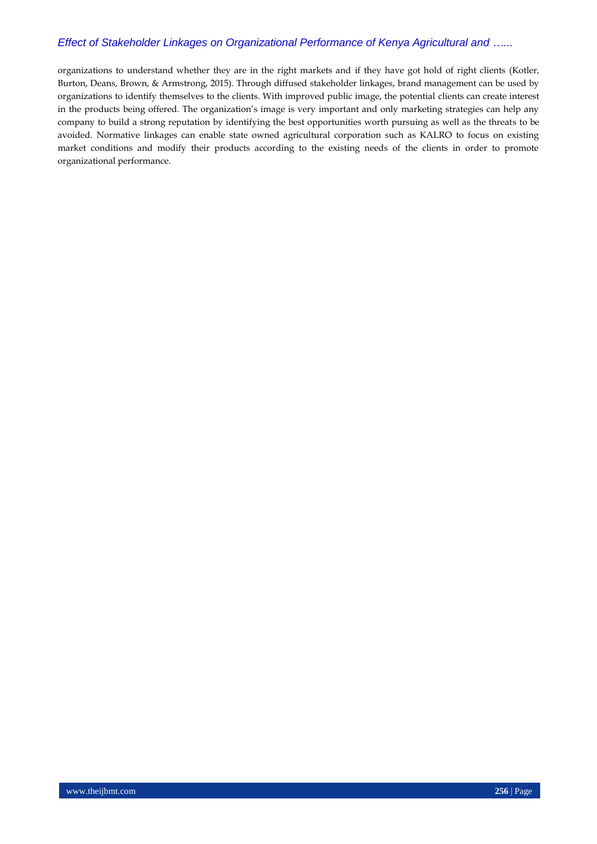organizations to understand whether they are in the right markets and if they have got hold of right clients (Kotler, Burton, Deans, Brown, & Armstrong, 2015). Through diffused stakeholder linkages, brand management can be used by organizations to identify themselves to the clients. With improved public image, the potential clients can create interest in the products being offered. The organization's image is very important and only marketing strategies can help any company to build a strong reputation by identifying the best opportunities worth pursuing as well as the threats to be avoided. Normative linkages can enable state owned agricultural corporation such as KALRO to focus on existing market conditions and modify their products according to the existing needs of the clients in order to promote organizational performance.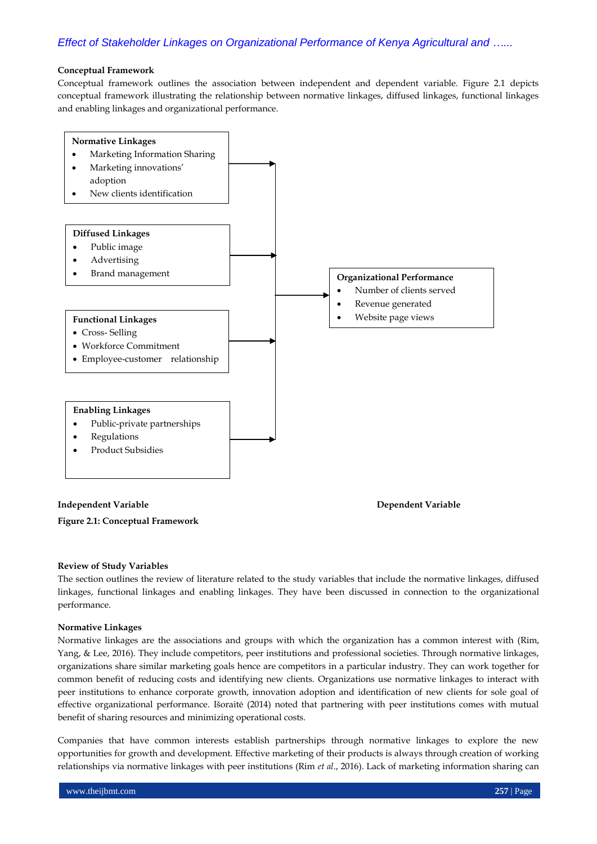#### **Conceptual Framework**

Conceptual framework outlines the association between independent and dependent variable. Figure 2.1 depicts conceptual framework illustrating the relationship between normative linkages, diffused linkages, functional linkages and enabling linkages and organizational performance.



#### **Independent Variable 2018 (2018)** 2 and 2 and 2 and 2 and 2 and 2 and 2 and 2 and 2 and 2 and 2 and 2 and 2 and 2 and 2 and 2 and 2 and 2 and 2 and 2 and 2 and 2 and 2 and 2 and 2 and 2 and 2 and 2 and 2 and 2 and 2 and 2

**Figure 2.1: Conceptual Framework**

#### **Review of Study Variables**

The section outlines the review of literature related to the study variables that include the normative linkages, diffused linkages, functional linkages and enabling linkages. They have been discussed in connection to the organizational performance.

#### **Normative Linkages**

Normative linkages are the associations and groups with which the organization has a common interest with (Rim, Yang, & Lee, 2016). They include competitors, peer institutions and professional societies. Through normative linkages, organizations share similar marketing goals hence are competitors in a particular industry. They can work together for common benefit of reducing costs and identifying new clients. Organizations use normative linkages to interact with peer institutions to enhance corporate growth, innovation adoption and identification of new clients for sole goal of effective organizational performance. Išoraitė (2014) noted that partnering with peer institutions comes with mutual benefit of sharing resources and minimizing operational costs.

Companies that have common interests establish partnerships through normative linkages to explore the new opportunities for growth and development. Effective marketing of their products is always through creation of working relationships via normative linkages with peer institutions (Rim *et al*., 2016). Lack of marketing information sharing can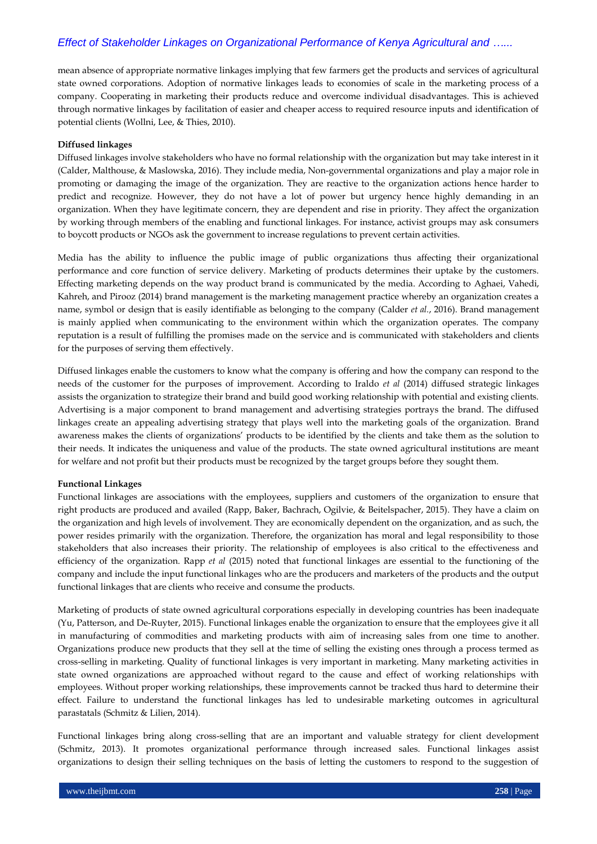mean absence of appropriate normative linkages implying that few farmers get the products and services of agricultural state owned corporations. Adoption of normative linkages leads to economies of scale in the marketing process of a company. Cooperating in marketing their products reduce and overcome individual disadvantages. This is achieved through normative linkages by facilitation of easier and cheaper access to required resource inputs and identification of potential clients (Wollni, Lee, & Thies, 2010).

#### **Diffused linkages**

Diffused linkages involve stakeholders who have no formal relationship with the organization but may take interest in it (Calder, Malthouse, & Maslowska, 2016). They include media, Non-governmental organizations and play a major role in promoting or damaging the image of the organization. They are reactive to the organization actions hence harder to predict and recognize. However, they do not have a lot of power but urgency hence highly demanding in an organization. When they have legitimate concern, they are dependent and rise in priority. They affect the organization by working through members of the enabling and functional linkages. For instance, activist groups may ask consumers to boycott products or NGOs ask the government to increase regulations to prevent certain activities.

Media has the ability to influence the public image of public organizations thus affecting their organizational performance and core function of service delivery. Marketing of products determines their uptake by the customers. Effecting marketing depends on the way product brand is communicated by the media. According to Aghaei, Vahedi, Kahreh, and Pirooz (2014) brand management is the marketing management practice whereby an organization creates a name, symbol or design that is easily identifiable as belonging to the company (Calder *et al.*, 2016). Brand management is mainly applied when communicating to the environment within which the organization operates. The company reputation is a result of fulfilling the promises made on the service and is communicated with stakeholders and clients for the purposes of serving them effectively.

Diffused linkages enable the customers to know what the company is offering and how the company can respond to the needs of the customer for the purposes of improvement. According to Iraldo *et al* (2014) diffused strategic linkages assists the organization to strategize their brand and build good working relationship with potential and existing clients. Advertising is a major component to brand management and advertising strategies portrays the brand. The diffused linkages create an appealing advertising strategy that plays well into the marketing goals of the organization. Brand awareness makes the clients of organizations' products to be identified by the clients and take them as the solution to their needs. It indicates the uniqueness and value of the products. The state owned agricultural institutions are meant for welfare and not profit but their products must be recognized by the target groups before they sought them.

#### **Functional Linkages**

Functional linkages are associations with the employees, suppliers and customers of the organization to ensure that right products are produced and availed (Rapp, Baker, Bachrach, Ogilvie, & Beitelspacher, 2015). They have a claim on the organization and high levels of involvement. They are economically dependent on the organization, and as such, the power resides primarily with the organization. Therefore, the organization has moral and legal responsibility to those stakeholders that also increases their priority. The relationship of employees is also critical to the effectiveness and efficiency of the organization. Rapp *et al* (2015) noted that functional linkages are essential to the functioning of the company and include the input functional linkages who are the producers and marketers of the products and the output functional linkages that are clients who receive and consume the products.

Marketing of products of state owned agricultural corporations especially in developing countries has been inadequate (Yu, Patterson, and De-Ruyter, 2015). Functional linkages enable the organization to ensure that the employees give it all in manufacturing of commodities and marketing products with aim of increasing sales from one time to another. Organizations produce new products that they sell at the time of selling the existing ones through a process termed as cross-selling in marketing. Quality of functional linkages is very important in marketing. Many marketing activities in state owned organizations are approached without regard to the cause and effect of working relationships with employees. Without proper working relationships, these improvements cannot be tracked thus hard to determine their effect. Failure to understand the functional linkages has led to undesirable marketing outcomes in agricultural parastatals (Schmitz & Lilien, 2014).

Functional linkages bring along cross-selling that are an important and valuable strategy for client development (Schmitz, 2013). It promotes organizational performance through increased sales. Functional linkages assist organizations to design their selling techniques on the basis of letting the customers to respond to the suggestion of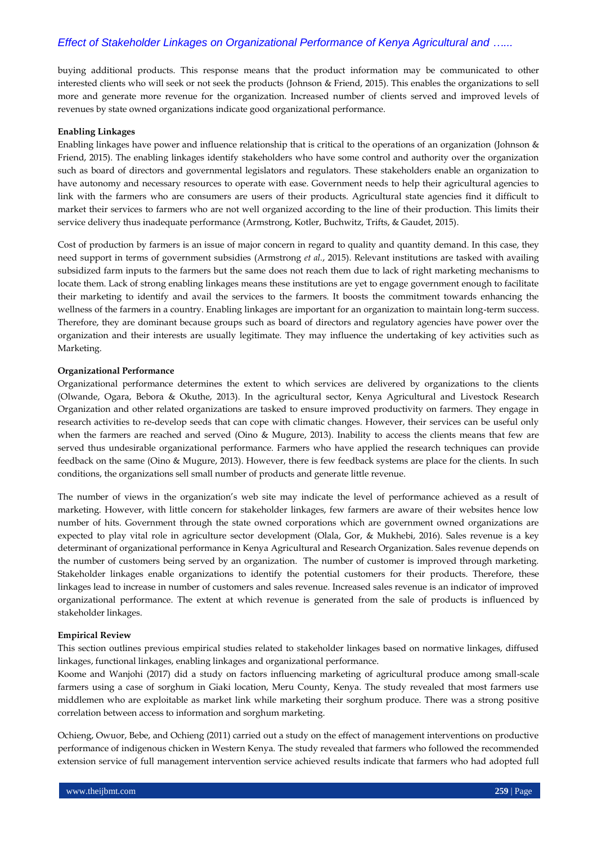buying additional products. This response means that the product information may be communicated to other interested clients who will seek or not seek the products (Johnson & Friend, 2015). This enables the organizations to sell more and generate more revenue for the organization. Increased number of clients served and improved levels of revenues by state owned organizations indicate good organizational performance.

#### **Enabling Linkages**

Enabling linkages have power and influence relationship that is critical to the operations of an organization (Johnson & Friend, 2015). The enabling linkages identify stakeholders who have some control and authority over the organization such as board of directors and governmental legislators and regulators. These stakeholders enable an organization to have autonomy and necessary resources to operate with ease. Government needs to help their agricultural agencies to link with the farmers who are consumers are users of their products. Agricultural state agencies find it difficult to market their services to farmers who are not well organized according to the line of their production. This limits their service delivery thus inadequate performance (Armstrong, Kotler, Buchwitz, Trifts, & Gaudet, 2015).

Cost of production by farmers is an issue of major concern in regard to quality and quantity demand. In this case, they need support in terms of government subsidies (Armstrong *et al.*, 2015). Relevant institutions are tasked with availing subsidized farm inputs to the farmers but the same does not reach them due to lack of right marketing mechanisms to locate them. Lack of strong enabling linkages means these institutions are yet to engage government enough to facilitate their marketing to identify and avail the services to the farmers. It boosts the commitment towards enhancing the wellness of the farmers in a country. Enabling linkages are important for an organization to maintain long-term success. Therefore, they are dominant because groups such as board of directors and regulatory agencies have power over the organization and their interests are usually legitimate. They may influence the undertaking of key activities such as Marketing.

#### **Organizational Performance**

Organizational performance determines the extent to which services are delivered by organizations to the clients (Olwande, Ogara, Bebora & Okuthe, 2013). In the agricultural sector, Kenya Agricultural and Livestock Research Organization and other related organizations are tasked to ensure improved productivity on farmers. They engage in research activities to re-develop seeds that can cope with climatic changes. However, their services can be useful only when the farmers are reached and served (Oino & Mugure, 2013). Inability to access the clients means that few are served thus undesirable organizational performance. Farmers who have applied the research techniques can provide feedback on the same (Oino & Mugure, 2013). However, there is few feedback systems are place for the clients. In such conditions, the organizations sell small number of products and generate little revenue.

The number of views in the organization's web site may indicate the level of performance achieved as a result of marketing. However, with little concern for stakeholder linkages, few farmers are aware of their websites hence low number of hits. Government through the state owned corporations which are government owned organizations are expected to play vital role in agriculture sector development (Olala, Gor, & Mukhebi, 2016). Sales revenue is a key determinant of organizational performance in Kenya Agricultural and Research Organization. Sales revenue depends on the number of customers being served by an organization. The number of customer is improved through marketing. Stakeholder linkages enable organizations to identify the potential customers for their products. Therefore, these linkages lead to increase in number of customers and sales revenue. Increased sales revenue is an indicator of improved organizational performance. The extent at which revenue is generated from the sale of products is influenced by stakeholder linkages.

#### **Empirical Review**

This section outlines previous empirical studies related to stakeholder linkages based on normative linkages, diffused linkages, functional linkages, enabling linkages and organizational performance.

Koome and Wanjohi (2017) did a study on factors influencing marketing of agricultural produce among small-scale farmers using a case of sorghum in Giaki location, Meru County, Kenya. The study revealed that most farmers use middlemen who are exploitable as market link while marketing their sorghum produce. There was a strong positive correlation between access to information and sorghum marketing.

Ochieng, Owuor, Bebe, and Ochieng (2011) carried out a study on the effect of management interventions on productive performance of indigenous chicken in Western Kenya. The study revealed that farmers who followed the recommended extension service of full management intervention service achieved results indicate that farmers who had adopted full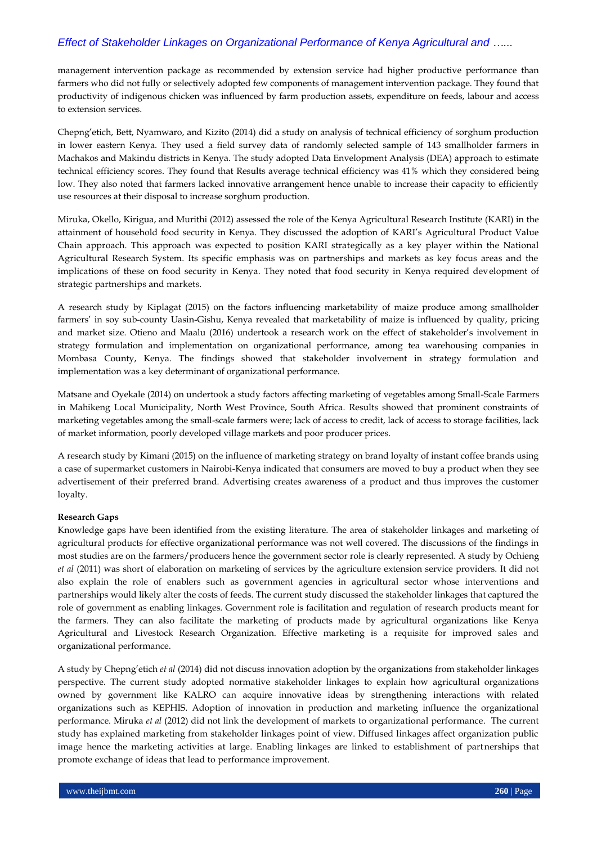management intervention package as recommended by extension service had higher productive performance than farmers who did not fully or selectively adopted few components of management intervention package. They found that productivity of indigenous chicken was influenced by farm production assets, expenditure on feeds, labour and access to extension services.

Chepng'etich, Bett, Nyamwaro, and Kizito (2014) did a study on analysis of technical efficiency of sorghum production in lower eastern Kenya. They used a field survey data of randomly selected sample of 143 smallholder farmers in Machakos and Makindu districts in Kenya. The study adopted Data Envelopment Analysis (DEA) approach to estimate technical efficiency scores. They found that Results average technical efficiency was 41% which they considered being low. They also noted that farmers lacked innovative arrangement hence unable to increase their capacity to efficiently use resources at their disposal to increase sorghum production.

Miruka, Okello, Kirigua, and Murithi (2012) assessed the role of the Kenya Agricultural Research Institute (KARI) in the attainment of household food security in Kenya. They discussed the adoption of KARI's Agricultural Product Value Chain approach. This approach was expected to position KARI strategically as a key player within the National Agricultural Research System. Its specific emphasis was on partnerships and markets as key focus areas and the implications of these on food security in Kenya. They noted that food security in Kenya required development of strategic partnerships and markets.

A research study by Kiplagat (2015) on the factors influencing marketability of maize produce among smallholder farmers' in soy sub-county Uasin-Gishu, Kenya revealed that marketability of maize is influenced by quality, pricing and market size. Otieno and Maalu (2016) undertook a research work on the effect of stakeholder's involvement in strategy formulation and implementation on organizational performance, among tea warehousing companies in Mombasa County, Kenya. The findings showed that stakeholder involvement in strategy formulation and implementation was a key determinant of organizational performance.

Matsane and Oyekale (2014) on undertook a study factors affecting marketing of vegetables among Small-Scale Farmers in Mahikeng Local Municipality, North West Province, South Africa. Results showed that prominent constraints of marketing vegetables among the small-scale farmers were; lack of access to credit, lack of access to storage facilities, lack of market information, poorly developed village markets and poor producer prices.

A research study by Kimani (2015) on the influence of marketing strategy on brand loyalty of instant coffee brands using a case of supermarket customers in Nairobi-Kenya indicated that consumers are moved to buy a product when they see advertisement of their preferred brand. Advertising creates awareness of a product and thus improves the customer loyalty.

# **Research Gaps**

Knowledge gaps have been identified from the existing literature. The area of stakeholder linkages and marketing of agricultural products for effective organizational performance was not well covered. The discussions of the findings in most studies are on the farmers/producers hence the government sector role is clearly represented. A study by Ochieng *et al* (2011) was short of elaboration on marketing of services by the agriculture extension service providers. It did not also explain the role of enablers such as government agencies in agricultural sector whose interventions and partnerships would likely alter the costs of feeds. The current study discussed the stakeholder linkages that captured the role of government as enabling linkages. Government role is facilitation and regulation of research products meant for the farmers. They can also facilitate the marketing of products made by agricultural organizations like Kenya Agricultural and Livestock Research Organization. Effective marketing is a requisite for improved sales and organizational performance.

A study by Chepng'etich *et al* (2014) did not discuss innovation adoption by the organizations from stakeholder linkages perspective. The current study adopted normative stakeholder linkages to explain how agricultural organizations owned by government like KALRO can acquire innovative ideas by strengthening interactions with related organizations such as KEPHIS. Adoption of innovation in production and marketing influence the organizational performance. Miruka *et al* (2012) did not link the development of markets to organizational performance. The current study has explained marketing from stakeholder linkages point of view. Diffused linkages affect organization public image hence the marketing activities at large. Enabling linkages are linked to establishment of partnerships that promote exchange of ideas that lead to performance improvement.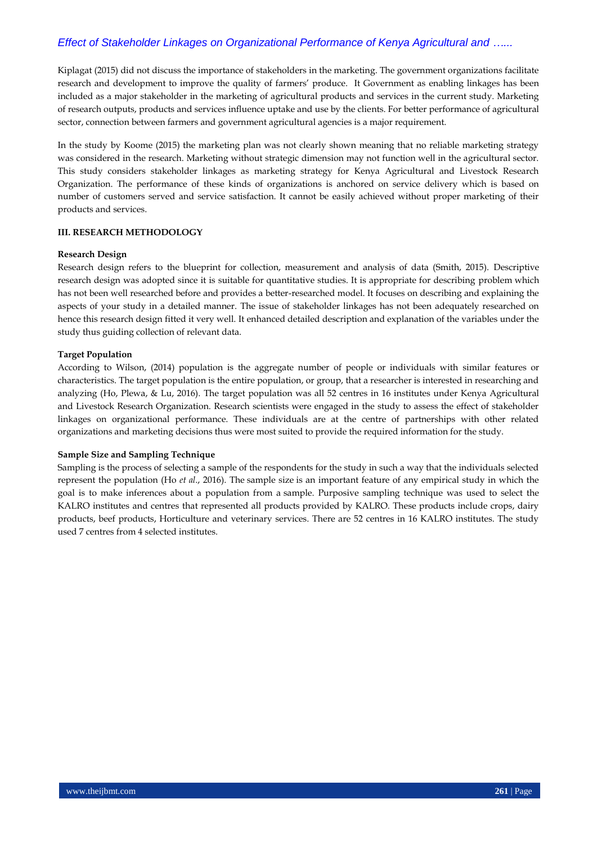Kiplagat (2015) did not discuss the importance of stakeholders in the marketing. The government organizations facilitate research and development to improve the quality of farmers' produce. It Government as enabling linkages has been included as a major stakeholder in the marketing of agricultural products and services in the current study. Marketing of research outputs, products and services influence uptake and use by the clients. For better performance of agricultural sector, connection between farmers and government agricultural agencies is a major requirement.

In the study by Koome (2015) the marketing plan was not clearly shown meaning that no reliable marketing strategy was considered in the research. Marketing without strategic dimension may not function well in the agricultural sector. This study considers stakeholder linkages as marketing strategy for Kenya Agricultural and Livestock Research Organization. The performance of these kinds of organizations is anchored on service delivery which is based on number of customers served and service satisfaction. It cannot be easily achieved without proper marketing of their products and services.

#### **III. RESEARCH METHODOLOGY**

#### **Research Design**

Research design refers to the blueprint for collection, measurement and analysis of data (Smith, 2015). Descriptive research design was adopted since it is suitable for quantitative studies. It is appropriate for describing problem which has not been well researched before and provides a better-researched model. It focuses on describing and explaining the aspects of your study in a detailed manner. The issue of stakeholder linkages has not been adequately researched on hence this research design fitted it very well. It enhanced detailed description and explanation of the variables under the study thus guiding collection of relevant data.

#### **Target Population**

According to Wilson, (2014) population is the aggregate number of people or individuals with similar features or characteristics. The target population is the entire population, or group, that a researcher is interested in researching and analyzing (Ho, Plewa, & Lu, 2016). The target population was all 52 centres in 16 institutes under Kenya Agricultural and Livestock Research Organization. Research scientists were engaged in the study to assess the effect of stakeholder linkages on organizational performance. These individuals are at the centre of partnerships with other related organizations and marketing decisions thus were most suited to provide the required information for the study.

#### **Sample Size and Sampling Technique**

Sampling is the process of selecting a sample of the respondents for the study in such a way that the individuals selected represent the population (Ho *et al*., 2016). The sample size is an important feature of any empirical study in which the goal is to make inferences about a population from a sample. Purposive sampling technique was used to select the KALRO institutes and centres that represented all products provided by KALRO. These products include crops, dairy products, beef products, Horticulture and veterinary services. There are 52 centres in 16 KALRO institutes. The study used 7 centres from 4 selected institutes.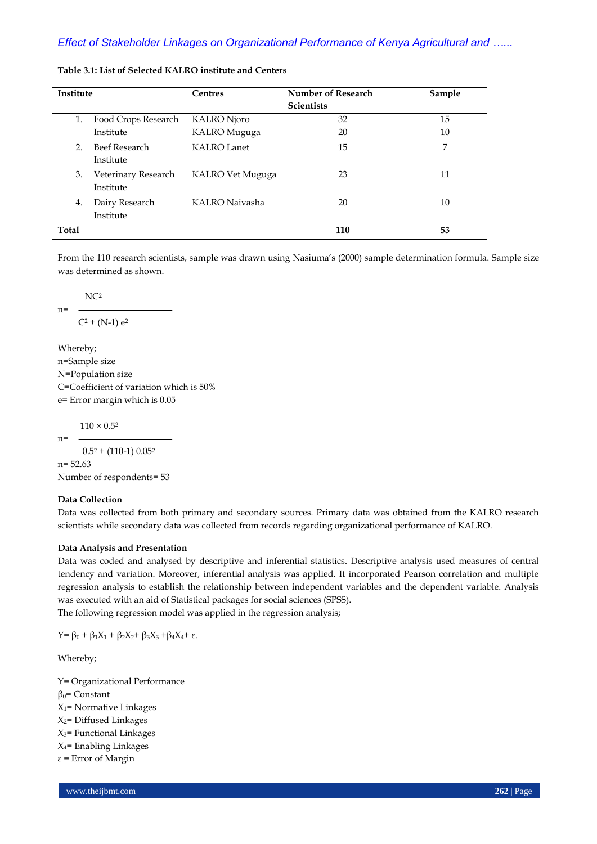| <b>Institute</b> |                     | <b>Centres</b>     | Number of Research | Sample |
|------------------|---------------------|--------------------|--------------------|--------|
|                  |                     |                    | <b>Scientists</b>  |        |
| 1.               | Food Crops Research | KALRO Njoro        | 32                 | 15     |
|                  | Institute           | KALRO Muguga       | 20                 | 10     |
| 2.               | Beef Research       | <b>KALRO Lanet</b> | 15                 | 7      |
|                  | Institute           |                    |                    |        |
| 3.               | Veterinary Research | KALRO Vet Muguga   | 23                 | 11     |
|                  | Institute           |                    |                    |        |
| 4.               | Dairy Research      | KALRO Naivasha     | 20                 | 10     |
|                  | Institute           |                    |                    |        |
| <b>Total</b>     |                     |                    | 110                | 53     |

## **Table 3.1: List of Selected KALRO institute and Centers**

From the 110 research scientists, sample was drawn using Nasiuma's (2000) sample determination formula. Sample size was determined as shown.

NC<sup>2</sup>

n=

$$
C^2 + (N-1) e^2
$$

Whereby; n=Sample size N=Population size C=Coefficient of variation which is 50% e= Error margin which is 0.05

 $110 \times 0.52$ 

 $n=$  $0.5^2 + (110-1) 0.05^2$ n= 52.63

Number of respondents= 53

# **Data Collection**

Data was collected from both primary and secondary sources. Primary data was obtained from the KALRO research scientists while secondary data was collected from records regarding organizational performance of KALRO.

#### **Data Analysis and Presentation**

Data was coded and analysed by descriptive and inferential statistics. Descriptive analysis used measures of central tendency and variation. Moreover, inferential analysis was applied. It incorporated Pearson correlation and multiple regression analysis to establish the relationship between independent variables and the dependent variable. Analysis was executed with an aid of Statistical packages for social sciences (SPSS).

The following regression model was applied in the regression analysis;

 $Y = \beta_0 + \beta_1 X_1 + \beta_2 X_2 + \beta_3 X_3 + \beta_4 X_4 + ε.$ 

Whereby;

Y= Organizational Performance  $β<sub>0</sub> = Constant$  $X_1$ = Normative Linkages  $X_2$ = Diffused Linkages  $X_3$ = Functional Linkages  $X_4$ = Enabling Linkages ε = Error of Margin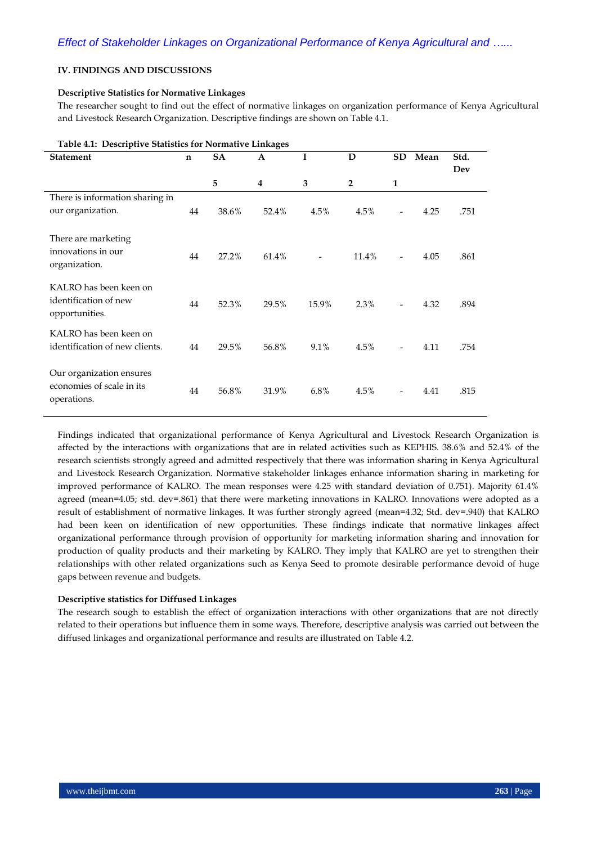# **IV. FINDINGS AND DISCUSSIONS**

## **Descriptive Statistics for Normative Linkages**

The researcher sought to find out the effect of normative linkages on organization performance of Kenya Agricultural and Livestock Research Organization. Descriptive findings are shown on Table 4.1.

|                                 | Table 4.1. Descriptive Statistics for ivorinative Effikages |       |       |       |                |                          |      |      |
|---------------------------------|-------------------------------------------------------------|-------|-------|-------|----------------|--------------------------|------|------|
| <b>Statement</b>                | n                                                           | SA    | A     | I     | D              | SD                       | Mean | Std. |
|                                 |                                                             |       |       |       |                |                          |      | Dev  |
|                                 |                                                             | 5     | 4     | 3     | $\overline{2}$ | $\mathbf{1}$             |      |      |
| There is information sharing in |                                                             |       |       |       |                |                          |      |      |
| our organization.               | 44                                                          | 38.6% | 52.4% | 4.5%  | 4.5%           | $\overline{\phantom{a}}$ | 4.25 | .751 |
|                                 |                                                             |       |       |       |                |                          |      |      |
| There are marketing             |                                                             |       |       |       |                |                          |      |      |
| innovations in our              |                                                             |       |       |       |                |                          |      |      |
| organization.                   | 44                                                          | 27.2% | 61.4% |       | 11.4%          | $\overline{\phantom{a}}$ | 4.05 | .861 |
|                                 |                                                             |       |       |       |                |                          |      |      |
| KALRO has been keen on          |                                                             |       |       |       |                |                          |      |      |
| identification of new           | 44                                                          | 52.3% | 29.5% | 15.9% | 2.3%           |                          | 4.32 | .894 |
| opportunities.                  |                                                             |       |       |       |                |                          |      |      |
| KALRO has been keen on          |                                                             |       |       |       |                |                          |      |      |
| identification of new clients.  | 44                                                          | 29.5% | 56.8% | 9.1%  | 4.5%           |                          | 4.11 | .754 |
|                                 |                                                             |       |       |       |                |                          |      |      |
| Our organization ensures        |                                                             |       |       |       |                |                          |      |      |
| economies of scale in its       |                                                             |       |       |       |                |                          |      |      |
| operations.                     | 44                                                          | 56.8% | 31.9% | 6.8%  | 4.5%           | $\overline{\phantom{a}}$ | 4.41 | .815 |
|                                 |                                                             |       |       |       |                |                          |      |      |

**Table 4.1: Descriptive Statistics for Normative Linkages**

Findings indicated that organizational performance of Kenya Agricultural and Livestock Research Organization is affected by the interactions with organizations that are in related activities such as KEPHIS. 38.6% and 52.4% of the research scientists strongly agreed and admitted respectively that there was information sharing in Kenya Agricultural and Livestock Research Organization. Normative stakeholder linkages enhance information sharing in marketing for improved performance of KALRO. The mean responses were 4.25 with standard deviation of 0.751). Majority 61.4% agreed (mean=4.05; std. dev=.861) that there were marketing innovations in KALRO. Innovations were adopted as a result of establishment of normative linkages. It was further strongly agreed (mean=4.32; Std. dev=.940) that KALRO had been keen on identification of new opportunities. These findings indicate that normative linkages affect organizational performance through provision of opportunity for marketing information sharing and innovation for production of quality products and their marketing by KALRO. They imply that KALRO are yet to strengthen their relationships with other related organizations such as Kenya Seed to promote desirable performance devoid of huge gaps between revenue and budgets.

#### **Descriptive statistics for Diffused Linkages**

The research sough to establish the effect of organization interactions with other organizations that are not directly related to their operations but influence them in some ways. Therefore, descriptive analysis was carried out between the diffused linkages and organizational performance and results are illustrated on Table 4.2.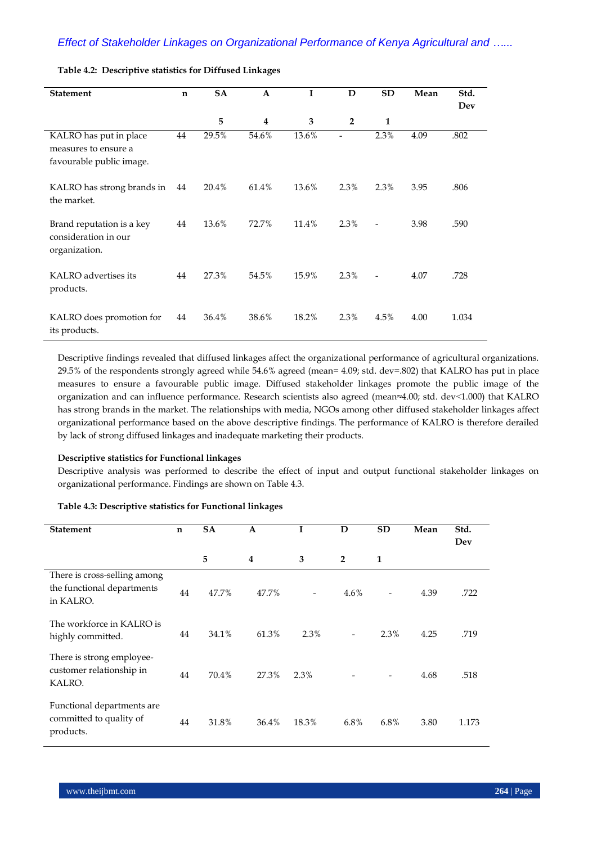| <b>Statement</b>                                                           | $\mathbf n$ | <b>SA</b> | $\mathbf{A}$ | I     | D              | <b>SD</b>      | Mean | Std.<br>Dev |
|----------------------------------------------------------------------------|-------------|-----------|--------------|-------|----------------|----------------|------|-------------|
|                                                                            |             | 5         | 4            | 3     | $\overline{2}$ | $\mathbf{1}$   |      |             |
| KALRO has put in place<br>measures to ensure a<br>favourable public image. | 44          | 29.5%     | 54.6%        | 13.6% |                | 2.3%           | 4.09 | .802        |
| KALRO has strong brands in<br>the market.                                  | 44          | 20.4%     | 61.4%        | 13.6% | 2.3%           | 2.3%           | 3.95 | .806        |
| Brand reputation is a key<br>consideration in our<br>organization.         | 44          | 13.6%     | 72.7%        | 11.4% | 2.3%           | $\overline{a}$ | 3.98 | .590        |
| KALRO advertises its<br>products.                                          | 44          | 27.3%     | 54.5%        | 15.9% | 2.3%           | $\overline{a}$ | 4.07 | .728        |
| KALRO does promotion for<br>its products.                                  | 44          | 36.4%     | 38.6%        | 18.2% | 2.3%           | 4.5%           | 4.00 | 1.034       |

## **Table 4.2: Descriptive statistics for Diffused Linkages**

Descriptive findings revealed that diffused linkages affect the organizational performance of agricultural organizations. 29.5% of the respondents strongly agreed while 54.6% agreed (mean= 4.09; std. dev=.802) that KALRO has put in place measures to ensure a favourable public image. Diffused stakeholder linkages promote the public image of the organization and can influence performance. Research scientists also agreed (mean≈4.00; std. dev˂1.000) that KALRO has strong brands in the market. The relationships with media, NGOs among other diffused stakeholder linkages affect organizational performance based on the above descriptive findings. The performance of KALRO is therefore derailed by lack of strong diffused linkages and inadequate marketing their products.

#### **Descriptive statistics for Functional linkages**

Descriptive analysis was performed to describe the effect of input and output functional stakeholder linkages on organizational performance. Findings are shown on Table 4.3.

#### **Table 4.3: Descriptive statistics for Functional linkages**

| <b>Statement</b>                                                        | n  | <b>SA</b> | A              |       | D              | <b>SD</b> | Mean | Std.<br>Dev |
|-------------------------------------------------------------------------|----|-----------|----------------|-------|----------------|-----------|------|-------------|
|                                                                         |    | 5         | $\overline{4}$ | 3     | $\overline{2}$ | 1         |      |             |
| There is cross-selling among<br>the functional departments<br>in KALRO. | 44 | 47.7%     | 47.7%          |       | 4.6%           |           | 4.39 | .722        |
| The workforce in KALRO is<br>highly committed.                          | 44 | 34.1%     | 61.3%          | 2.3%  |                | 2.3%      | 4.25 | .719        |
| There is strong employee-<br>customer relationship in<br>KALRO.         | 44 | 70.4%     | 27.3%          | 2.3%  |                |           | 4.68 | .518        |
| Functional departments are<br>committed to quality of<br>products.      | 44 | 31.8%     | 36.4%          | 18.3% | 6.8%           | 6.8%      | 3.80 | 1.173       |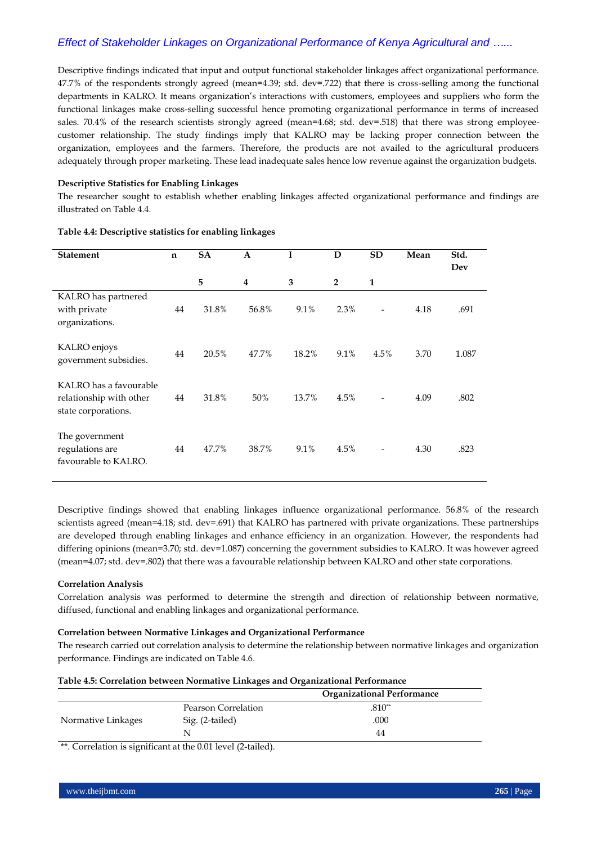Descriptive findings indicated that input and output functional stakeholder linkages affect organizational performance. 47.7% of the respondents strongly agreed (mean=4.39; std. dev=.722) that there is cross-selling among the functional departments in KALRO. It means organization's interactions with customers, employees and suppliers who form the functional linkages make cross-selling successful hence promoting organizational performance in terms of increased sales. 70.4% of the research scientists strongly agreed (mean=4.68; std. dev=.518) that there was strong employeecustomer relationship. The study findings imply that KALRO may be lacking proper connection between the organization, employees and the farmers. Therefore, the products are not availed to the agricultural producers adequately through proper marketing. These lead inadequate sales hence low revenue against the organization budgets.

## **Descriptive Statistics for Enabling Linkages**

The researcher sought to establish whether enabling linkages affected organizational performance and findings are illustrated on Table 4.4.

| <b>Statement</b>                                                         | $\mathbf n$ | <b>SA</b> | $\mathbf{A}$ |       | D              | <b>SD</b>    | Mean | Std.<br>Dev |
|--------------------------------------------------------------------------|-------------|-----------|--------------|-------|----------------|--------------|------|-------------|
|                                                                          |             | 5         | 4            | 3     | $\overline{2}$ | $\mathbf{1}$ |      |             |
| KALRO has partnered<br>with private<br>organizations.                    | 44          | 31.8%     | 56.8%        | 9.1%  | 2.3%           |              | 4.18 | .691        |
| KALRO enjoys<br>government subsidies.                                    | 44          | 20.5%     | 47.7%        | 18.2% | 9.1%           | 4.5%         | 3.70 | 1.087       |
| KALRO has a favourable<br>relationship with other<br>state corporations. | 44          | 31.8%     | 50%          | 13.7% | 4.5%           |              | 4.09 | .802        |
| The government<br>regulations are<br>favourable to KALRO.                | 44          | 47.7%     | 38.7%        | 9.1%  | 4.5%           |              | 4.30 | .823        |

#### **Table 4.4: Descriptive statistics for enabling linkages**

Descriptive findings showed that enabling linkages influence organizational performance. 56.8% of the research scientists agreed (mean=4.18; std. dev=.691) that KALRO has partnered with private organizations. These partnerships are developed through enabling linkages and enhance efficiency in an organization. However, the respondents had differing opinions (mean=3.70; std. dev=1.087) concerning the government subsidies to KALRO. It was however agreed (mean=4.07; std. dev=.802) that there was a favourable relationship between KALRO and other state corporations.

#### **Correlation Analysis**

Correlation analysis was performed to determine the strength and direction of relationship between normative, diffused, functional and enabling linkages and organizational performance.

#### **Correlation between Normative Linkages and Organizational Performance**

The research carried out correlation analysis to determine the relationship between normative linkages and organization performance. Findings are indicated on Table 4.6.

| Table 4.5: Correlation between Normative Linkages and Organizational Performance |                                   |
|----------------------------------------------------------------------------------|-----------------------------------|
|                                                                                  | <b>Organizational Performance</b> |

|                    |                     | OI ganizativnal I chomiance |
|--------------------|---------------------|-----------------------------|
|                    | Pearson Correlation | $.810**$                    |
| Normative Linkages | Sig. (2-tailed)     | .000                        |
|                    |                     | 44                          |
|                    |                     |                             |

\*\*. Correlation is significant at the 0.01 level (2-tailed).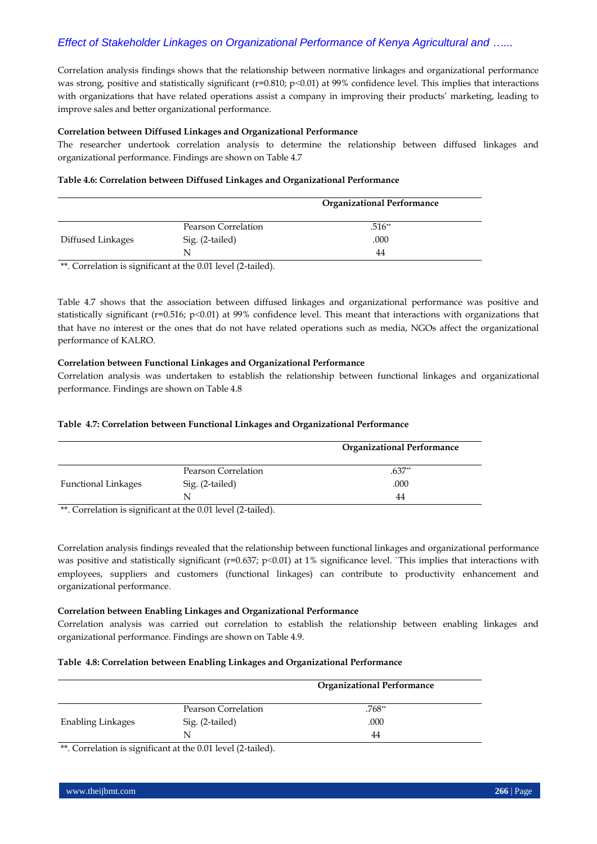Correlation analysis findings shows that the relationship between normative linkages and organizational performance was strong, positive and statistically significant ( $r=0.810$ ;  $p<0.01$ ) at 99% confidence level. This implies that interactions with organizations that have related operations assist a company in improving their products' marketing, leading to improve sales and better organizational performance.

## **Correlation between Diffused Linkages and Organizational Performance**

The researcher undertook correlation analysis to determine the relationship between diffused linkages and organizational performance. Findings are shown on Table 4.7

#### **Table 4.6: Correlation between Diffused Linkages and Organizational Performance**

|                   |                     | <b>Organizational Performance</b> |
|-------------------|---------------------|-----------------------------------|
|                   | Pearson Correlation | $.516**$                          |
| Diffused Linkages | Sig. (2-tailed)     | .000                              |
|                   | N                   | 44                                |

\*\*. Correlation is significant at the 0.01 level (2-tailed).

Table 4.7 shows that the association between diffused linkages and organizational performance was positive and statistically significant (r=0.516; p˂0.01) at 99% confidence level. This meant that interactions with organizations that that have no interest or the ones that do not have related operations such as media, NGOs affect the organizational performance of KALRO.

## **Correlation between Functional Linkages and Organizational Performance**

Correlation analysis was undertaken to establish the relationship between functional linkages and organizational performance. Findings are shown on Table 4.8

# **Table 4.7: Correlation between Functional Linkages and Organizational Performance**

|                            |                     | <b>Organizational Performance</b> |
|----------------------------|---------------------|-----------------------------------|
|                            | Pearson Correlation | $.637**$                          |
| <b>Functional Linkages</b> | Sig. (2-tailed)     | .000                              |
|                            | N                   | 44                                |

\*\*. Correlation is significant at the 0.01 level (2-tailed).

Correlation analysis findings revealed that the relationship between functional linkages and organizational performance was positive and statistically significant (r=0.637; p<0.01) at 1% significance level. `This implies that interactions with employees, suppliers and customers (functional linkages) can contribute to productivity enhancement and organizational performance.

#### **Correlation between Enabling Linkages and Organizational Performance**

Correlation analysis was carried out correlation to establish the relationship between enabling linkages and organizational performance. Findings are shown on Table 4.9.

#### **Table 4.8: Correlation between Enabling Linkages and Organizational Performance**

|                          |                     | <b>Organizational Performance</b> |
|--------------------------|---------------------|-----------------------------------|
|                          | Pearson Correlation | .768**                            |
| <b>Enabling Linkages</b> | Sig. (2-tailed)     | .000                              |
|                          | N                   | 44                                |

\*\*. Correlation is significant at the 0.01 level (2-tailed).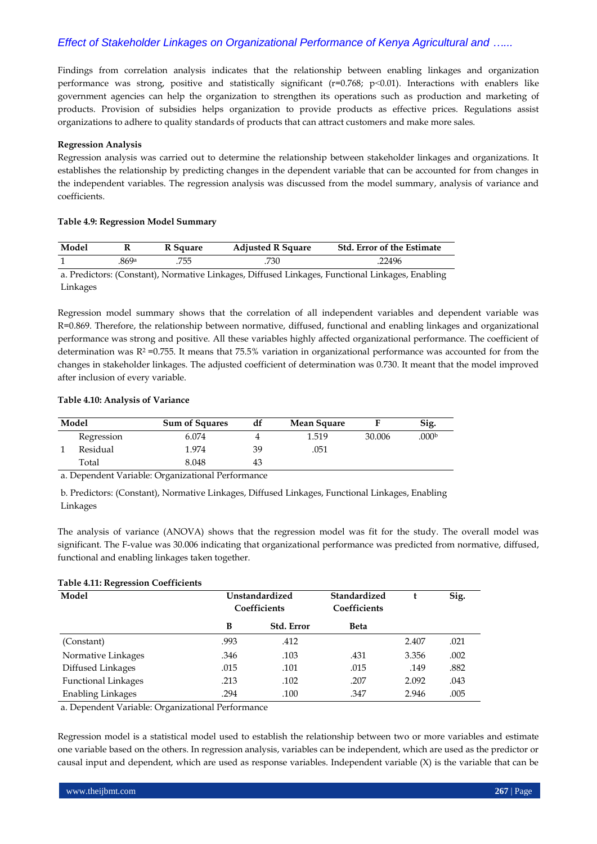Findings from correlation analysis indicates that the relationship between enabling linkages and organization performance was strong, positive and statistically significant ( $r=0.768$ ;  $p<0.01$ ). Interactions with enablers like government agencies can help the organization to strengthen its operations such as production and marketing of products. Provision of subsidies helps organization to provide products as effective prices. Regulations assist organizations to adhere to quality standards of products that can attract customers and make more sales.

## **Regression Analysis**

Regression analysis was carried out to determine the relationship between stakeholder linkages and organizations. It establishes the relationship by predicting changes in the dependent variable that can be accounted for from changes in the independent variables. The regression analysis was discussed from the model summary, analysis of variance and coefficients.

## **Table 4.9: Regression Model Summary**

| Model | v    | R Square | <b>Adjusted R Square</b> | <b>Std. Error of the Estimate</b> |  |  |
|-------|------|----------|--------------------------|-----------------------------------|--|--|
|       | 869a | 755      | 730                      | .22496                            |  |  |
| __    |      | .        | $   -$<br>-----          |                                   |  |  |

a. Predictors: (Constant), Normative Linkages, Diffused Linkages, Functional Linkages, Enabling Linkages

Regression model summary shows that the correlation of all independent variables and dependent variable was R=0.869. Therefore, the relationship between normative, diffused, functional and enabling linkages and organizational performance was strong and positive. All these variables highly affected organizational performance. The coefficient of determination was R<sup>2</sup> =0.755. It means that 75.5% variation in organizational performance was accounted for from the changes in stakeholder linkages. The adjusted coefficient of determination was 0.730. It meant that the model improved after inclusion of every variable.

## **Table 4.10: Analysis of Variance**

| Model      | <b>Sum of Squares</b> | df | <b>Mean Square</b> |        | Sig.              |
|------------|-----------------------|----|--------------------|--------|-------------------|
| Regression | 6.074                 |    | 1.519              | 30.006 | .000 <sub>b</sub> |
| Residual   | 1.974                 | 39 | .051               |        |                   |
| Total      | 8.048                 | 43 |                    |        |                   |

a. Dependent Variable: Organizational Performance

b. Predictors: (Constant), Normative Linkages, Diffused Linkages, Functional Linkages, Enabling Linkages

The analysis of variance (ANOVA) shows that the regression model was fit for the study. The overall model was significant. The F-value was 30.006 indicating that organizational performance was predicted from normative, diffused, functional and enabling linkages taken together.

# **Table 4.11: Regression Coefficients**

| Model                      | Unstandardized<br>Coefficients |                   | Standardized<br>Coefficients |       | Sig. |
|----------------------------|--------------------------------|-------------------|------------------------------|-------|------|
|                            | B                              | <b>Std. Error</b> | <b>Beta</b>                  |       |      |
| (Constant)                 | .993                           | .412              |                              | 2.407 | .021 |
| Normative Linkages         | .346                           | .103              | .431                         | 3.356 | .002 |
| Diffused Linkages          | .015                           | .101              | .015                         | .149  | .882 |
| <b>Functional Linkages</b> | .213                           | .102              | .207                         | 2.092 | .043 |
| <b>Enabling Linkages</b>   | .294                           | .100              | .347                         | 2.946 | .005 |

a. Dependent Variable: Organizational Performance

Regression model is a statistical model used to establish the relationship between two or more variables and estimate one variable based on the others. In regression analysis, variables can be independent, which are used as the predictor or causal input and dependent, which are used as response variables. Independent variable (X) is the variable that can be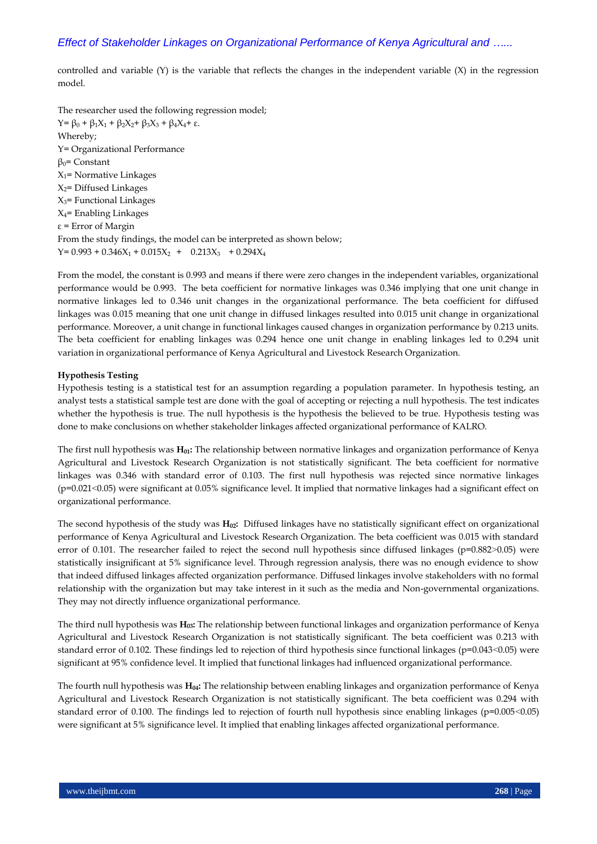controlled and variable  $(Y)$  is the variable that reflects the changes in the independent variable  $(X)$  in the regression model.

The researcher used the following regression model; Y=  $\beta_0$  +  $\beta_1X_1$  +  $\beta_2X_2$ +  $\beta_3X_3$  +  $\beta_4X_4$ + ε. Whereby; Y= Organizational Performance  $β<sub>0</sub>$ = Constant  $X_1$ = Normative Linkages  $X_2$ = Diffused Linkages  $X_3$ = Functional Linkages  $X_4$ = Enabling Linkages ε = Error of Margin From the study findings, the model can be interpreted as shown below;  $Y= 0.993 + 0.346X_1 + 0.015X_2 + 0.213X_3 + 0.294X_4$ 

From the model, the constant is 0.993 and means if there were zero changes in the independent variables, organizational performance would be 0.993. The beta coefficient for normative linkages was 0.346 implying that one unit change in normative linkages led to 0.346 unit changes in the organizational performance. The beta coefficient for diffused linkages was 0.015 meaning that one unit change in diffused linkages resulted into 0.015 unit change in organizational performance. Moreover, a unit change in functional linkages caused changes in organization performance by 0.213 units. The beta coefficient for enabling linkages was 0.294 hence one unit change in enabling linkages led to 0.294 unit variation in organizational performance of Kenya Agricultural and Livestock Research Organization.

#### **Hypothesis Testing**

Hypothesis testing is a statistical test for an assumption regarding a population parameter. In hypothesis testing, an [analyst](https://www.investopedia.com/terms/a/analyst.asp) tests a statistical sample test are done with the goal of accepting or rejecting a [null hypothesis.](https://www.investopedia.com/terms/n/null_hypothesis.asp) The test indicates whether the hypothesis is true. The null hypothesis is the hypothesis the believed to be true. Hypothesis testing was done to make conclusions on whether stakeholder linkages affected organizational performance of KALRO.

The first null hypothesis was **H01:** The relationship between normative linkages and organization performance of Kenya Agricultural and Livestock Research Organization is not statistically significant. The beta coefficient for normative linkages was 0.346 with standard error of 0.103. The first null hypothesis was rejected since normative linkages (p=0.021˂0.05) were significant at 0.05% significance level. It implied that normative linkages had a significant effect on organizational performance.

The second hypothesis of the study was **H02:** Diffused linkages have no statistically significant effect on organizational performance of Kenya Agricultural and Livestock Research Organization. The beta coefficient was 0.015 with standard error of 0.101. The researcher failed to reject the second null hypothesis since diffused linkages (p=0.882>0.05) were statistically insignificant at 5% significance level. Through regression analysis, there was no enough evidence to show that indeed diffused linkages affected organization performance. Diffused linkages involve stakeholders with no formal relationship with the organization but may take interest in it such as the media and Non-governmental organizations. They may not directly influence organizational performance.

The third null hypothesis was **H03:** The relationship between functional linkages and organization performance of Kenya Agricultural and Livestock Research Organization is not statistically significant. The beta coefficient was 0.213 with standard error of 0.102. These findings led to rejection of third hypothesis since functional linkages (p=0.043<0.05) were significant at 95% confidence level. It implied that functional linkages had influenced organizational performance.

The fourth null hypothesis was **H04:** The relationship between enabling linkages and organization performance of Kenya Agricultural and Livestock Research Organization is not statistically significant. The beta coefficient was 0.294 with standard error of 0.100. The findings led to rejection of fourth null hypothesis since enabling linkages (p=0.005<0.05) were significant at 5% significance level. It implied that enabling linkages affected organizational performance.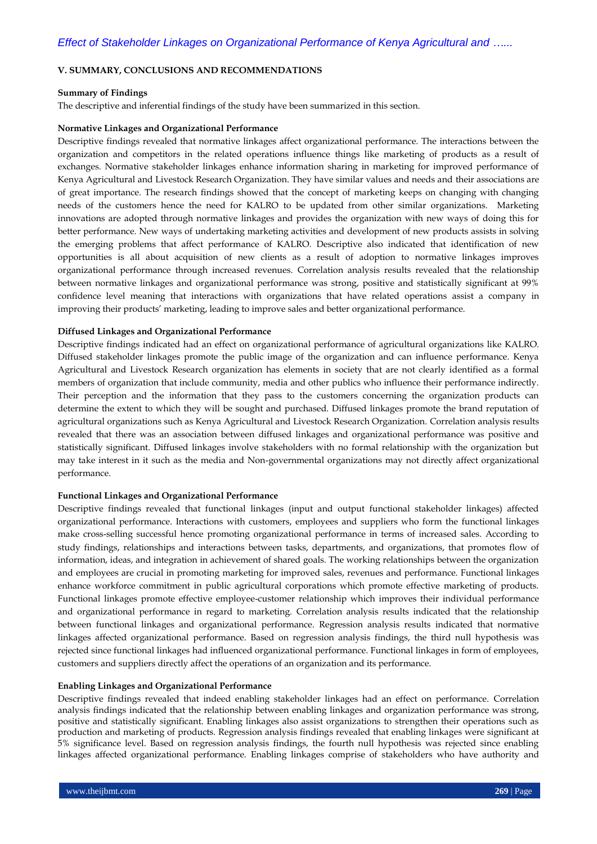## **V. SUMMARY, CONCLUSIONS AND RECOMMENDATIONS**

#### **Summary of Findings**

The descriptive and inferential findings of the study have been summarized in this section.

#### **Normative Linkages and Organizational Performance**

Descriptive findings revealed that normative linkages affect organizational performance. The interactions between the organization and competitors in the related operations influence things like marketing of products as a result of exchanges. Normative stakeholder linkages enhance information sharing in marketing for improved performance of Kenya Agricultural and Livestock Research Organization. They have similar values and needs and their associations are of great importance. The research findings showed that the concept of marketing keeps on changing with changing needs of the customers hence the need for KALRO to be updated from other similar organizations. Marketing innovations are adopted through normative linkages and provides the organization with new ways of doing this for better performance. New ways of undertaking marketing activities and development of new products assists in solving the emerging problems that affect performance of KALRO. Descriptive also indicated that identification of new opportunities is all about acquisition of new clients as a result of adoption to normative linkages improves organizational performance through increased revenues. Correlation analysis results revealed that the relationship between normative linkages and organizational performance was strong, positive and statistically significant at 99% confidence level meaning that interactions with organizations that have related operations assist a company in improving their products' marketing, leading to improve sales and better organizational performance.

#### **Diffused Linkages and Organizational Performance**

Descriptive findings indicated had an effect on organizational performance of agricultural organizations like KALRO. Diffused stakeholder linkages promote the public image of the organization and can influence performance. Kenya Agricultural and Livestock Research organization has elements in society that are not clearly identified as a formal members of organization that include community, media and other publics who influence their performance indirectly. Their perception and the information that they pass to the customers concerning the organization products can determine the extent to which they will be sought and purchased. Diffused linkages promote the brand reputation of agricultural organizations such as Kenya Agricultural and Livestock Research Organization. Correlation analysis results revealed that there was an association between diffused linkages and organizational performance was positive and statistically significant. Diffused linkages involve stakeholders with no formal relationship with the organization but may take interest in it such as the media and Non-governmental organizations may not directly affect organizational performance.

#### **Functional Linkages and Organizational Performance**

Descriptive findings revealed that functional linkages (input and output functional stakeholder linkages) affected organizational performance. Interactions with customers, employees and suppliers who form the functional linkages make cross-selling successful hence promoting organizational performance in terms of increased sales. According to study findings, relationships and interactions between tasks, departments, and organizations, that promotes flow of information, ideas, and integration in achievement of shared goals. The working relationships between the organization and employees are crucial in promoting marketing for improved sales, revenues and performance. Functional linkages enhance workforce commitment in public agricultural corporations which promote effective marketing of products. Functional linkages promote effective employee-customer relationship which improves their individual performance and organizational performance in regard to marketing. Correlation analysis results indicated that the relationship between functional linkages and organizational performance. Regression analysis results indicated that normative linkages affected organizational performance. Based on regression analysis findings, the third null hypothesis was rejected since functional linkages had influenced organizational performance. Functional linkages in form of employees, customers and suppliers directly affect the operations of an organization and its performance.

## **Enabling Linkages and Organizational Performance**

Descriptive findings revealed that indeed enabling stakeholder linkages had an effect on performance. Correlation analysis findings indicated that the relationship between enabling linkages and organization performance was strong, positive and statistically significant. Enabling linkages also assist organizations to strengthen their operations such as production and marketing of products. Regression analysis findings revealed that enabling linkages were significant at 5% significance level. Based on regression analysis findings, the fourth null hypothesis was rejected since enabling linkages affected organizational performance. Enabling linkages comprise of stakeholders who have authority and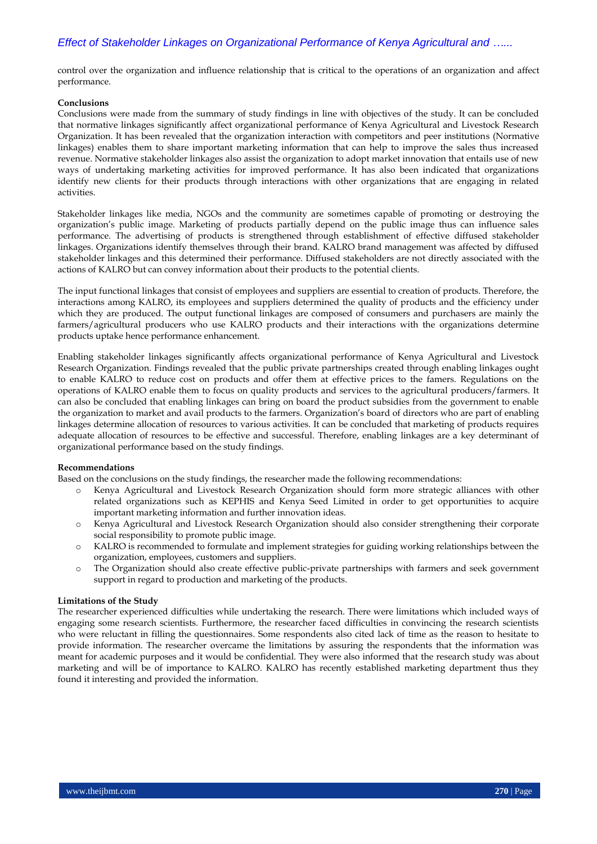control over the organization and influence relationship that is critical to the operations of an organization and affect performance.

#### **Conclusions**

Conclusions were made from the summary of study findings in line with objectives of the study. It can be concluded that normative linkages significantly affect organizational performance of Kenya Agricultural and Livestock Research Organization. It has been revealed that the organization interaction with competitors and peer institutions (Normative linkages) enables them to share important marketing information that can help to improve the sales thus increased revenue. Normative stakeholder linkages also assist the organization to adopt market innovation that entails use of new ways of undertaking marketing activities for improved performance. It has also been indicated that organizations identify new clients for their products through interactions with other organizations that are engaging in related activities.

Stakeholder linkages like media, NGOs and the community are sometimes capable of promoting or destroying the organization's public image. Marketing of products partially depend on the public image thus can influence sales performance. The advertising of products is strengthened through establishment of effective diffused stakeholder linkages. Organizations identify themselves through their brand. KALRO brand management was affected by diffused stakeholder linkages and this determined their performance. Diffused stakeholders are not directly associated with the actions of KALRO but can convey information about their products to the potential clients.

The input functional linkages that consist of employees and suppliers are essential to creation of products. Therefore, the interactions among KALRO, its employees and suppliers determined the quality of products and the efficiency under which they are produced. The output functional linkages are composed of consumers and purchasers are mainly the farmers/agricultural producers who use KALRO products and their interactions with the organizations determine products uptake hence performance enhancement.

Enabling stakeholder linkages significantly affects organizational performance of Kenya Agricultural and Livestock Research Organization. Findings revealed that the public private partnerships created through enabling linkages ought to enable KALRO to reduce cost on products and offer them at effective prices to the famers. Regulations on the operations of KALRO enable them to focus on quality products and services to the agricultural producers/farmers. It can also be concluded that enabling linkages can bring on board the product subsidies from the government to enable the organization to market and avail products to the farmers. Organization's board of directors who are part of enabling linkages determine allocation of resources to various activities. It can be concluded that marketing of products requires adequate allocation of resources to be effective and successful. Therefore, enabling linkages are a key determinant of organizational performance based on the study findings.

#### **Recommendations**

Based on the conclusions on the study findings, the researcher made the following recommendations:

- o Kenya Agricultural and Livestock Research Organization should form more strategic alliances with other related organizations such as KEPHIS and Kenya Seed Limited in order to get opportunities to acquire important marketing information and further innovation ideas.
- o Kenya Agricultural and Livestock Research Organization should also consider strengthening their corporate social responsibility to promote public image.
- o KALRO is recommended to formulate and implement strategies for guiding working relationships between the organization, employees, customers and suppliers.
- o The Organization should also create effective public-private partnerships with farmers and seek government support in regard to production and marketing of the products.

#### **Limitations of the Study**

The researcher experienced difficulties while undertaking the research. There were limitations which included ways of engaging some research scientists. Furthermore, the researcher faced difficulties in convincing the research scientists who were reluctant in filling the questionnaires. Some respondents also cited lack of time as the reason to hesitate to provide information. The researcher overcame the limitations by assuring the respondents that the information was meant for academic purposes and it would be confidential. They were also informed that the research study was about marketing and will be of importance to KALRO. KALRO has recently established marketing department thus they found it interesting and provided the information.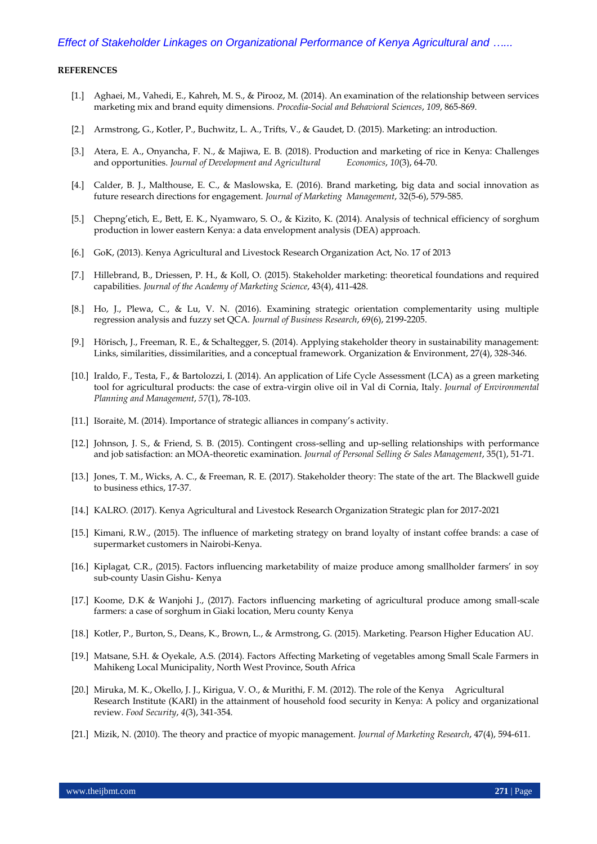#### **REFERENCES**

- [1.] Aghaei, M., Vahedi, E., Kahreh, M. S., & Pirooz, M. (2014). An examination of the relationship between services marketing mix and brand equity dimensions. *Procedia-Social and Behavioral Sciences*, *109*, 865-869.
- [2.] Armstrong, G., Kotler, P., Buchwitz, L. A., Trifts, V., & Gaudet, D. (2015). Marketing: an introduction.
- [3.] Atera, E. A., Onyancha, F. N., & Majiwa, E. B. (2018). Production and marketing of rice in Kenya: Challenges and opportunities. *Journal of Development and Agricultural Economics*, *10*(3), 64-70.
- [4.] Calder, B. J., Malthouse, E. C., & Maslowska, E. (2016). Brand marketing, big data and social innovation as future research directions for engagement. *Journal of Marketing Management*, 32(5-6), 579-585.
- [5.] Chepng'etich, E., Bett, E. K., Nyamwaro, S. O., & Kizito, K. (2014). Analysis of technical efficiency of sorghum production in lower eastern Kenya: a data envelopment analysis (DEA) approach.
- [6.] GoK, (2013). Kenya Agricultural and Livestock Research Organization Act, No. 17 of 2013
- [7.] Hillebrand, B., Driessen, P. H., & Koll, O. (2015). Stakeholder marketing: theoretical foundations and required capabilities. *Journal of the Academy of Marketing Science*, 43(4), 411-428.
- [8.] Ho, J., Plewa, C., & Lu, V. N. (2016). Examining strategic orientation complementarity using multiple regression analysis and fuzzy set QCA. *Journal of Business Research*, 69(6), 2199-2205.
- [9.] Hörisch, J., Freeman, R. E., & Schaltegger, S. (2014). Applying stakeholder theory in sustainability management: Links, similarities, dissimilarities, and a conceptual framework. Organization & Environment, 27(4), 328-346.
- [10.] Iraldo, F., Testa, F., & Bartolozzi, I. (2014). An application of Life Cycle Assessment (LCA) as a green marketing tool for agricultural products: the case of extra-virgin olive oil in Val di Cornia, Italy. *Journal of Environmental Planning and Management*, *57*(1), 78-103.
- [11.] Išoraitė, M. (2014). Importance of strategic alliances in company's activity.
- [12.] Johnson, J. S., & Friend, S. B. (2015). Contingent cross-selling and up-selling relationships with performance and job satisfaction: an MOA-theoretic examination. *Journal of Personal Selling & Sales Management*, 35(1), 51-71.
- [13.] Jones, T. M., Wicks, A. C., & Freeman, R. E. (2017). Stakeholder theory: The state of the art. The Blackwell guide to business ethics, 17-37.
- [14.] KALRO. (2017). Kenya Agricultural and Livestock Research Organization Strategic plan for 2017-2021
- [15.] Kimani, R.W., (2015). The influence of marketing strategy on brand loyalty of instant coffee brands: a case of supermarket customers in Nairobi-Kenya.
- [16.] Kiplagat, C.R., (2015). Factors influencing marketability of maize produce among smallholder farmers' in soy sub-county Uasin Gishu- Kenya
- [17.] Koome, D.K & Wanjohi J., (2017). Factors influencing marketing of agricultural produce among small-scale farmers: a case of sorghum in Giaki location, Meru county Kenya
- [18.] Kotler, P., Burton, S., Deans, K., Brown, L., & Armstrong, G. (2015). Marketing. Pearson Higher Education AU.
- [19.] Matsane, S.H. & Oyekale, A.S. (2014). Factors Affecting Marketing of vegetables among Small Scale Farmers in Mahikeng Local Municipality, North West Province, South Africa
- [20.] Miruka, M. K., Okello, J. J., Kirigua, V. O., & Murithi, F. M. (2012). The role of the Kenya Agricultural Research Institute (KARI) in the attainment of household food security in Kenya: A policy and organizational review. *Food Security*, *4*(3), 341-354.
- [21.] Mizik, N. (2010). The theory and practice of myopic management. *Journal of Marketing Research*, 47(4), 594-611.